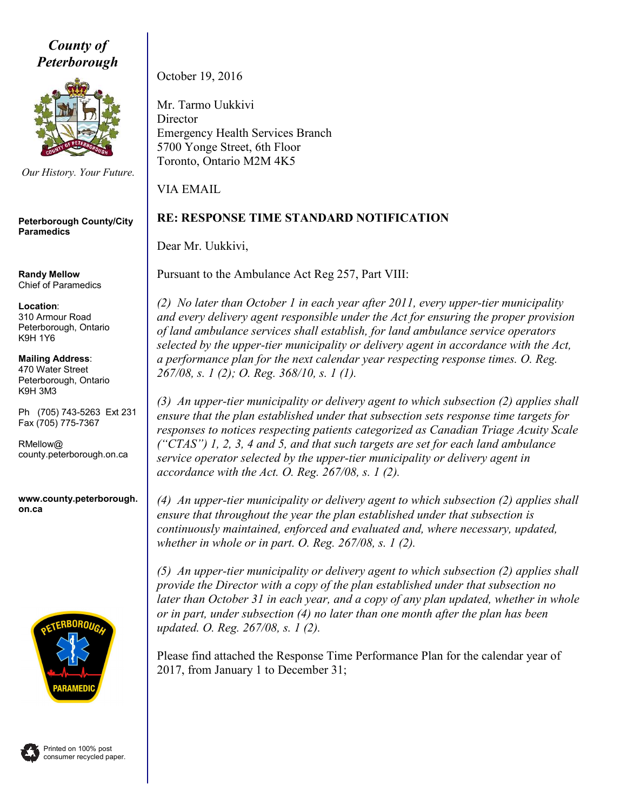*County of Peterborough* 



*Our History. Your Future.*

**Peterborough County/City Paramedics** 

**Randy Mellow**  Chief of Paramedics

#### **Location**: 310 Armour Road Peterborough, Ontario K9H 1Y6

**Mailing Address**: 470 Water Street Peterborough, Ontario K9H 3M3

Ph (705) 743-5263 Ext 231 Fax (705) 775-7367

RMellow@ county.peterborough.on.ca

**www.county.peterborough. on.ca** 



October 19, 2016

Mr. Tarmo Uukkivi **Director** Emergency Health Services Branch 5700 Yonge Street, 6th Floor Toronto, Ontario M2M 4K5

VIA EMAIL

# **RE: RESPONSE TIME STANDARD NOTIFICATION**

Dear Mr. Uukkivi,

Pursuant to the Ambulance Act Reg 257, Part VIII:

*(2) No later than October 1 in each year after 2011, every upper-tier municipality and every delivery agent responsible under the Act for ensuring the proper provision of land ambulance services shall establish, for land ambulance service operators selected by the upper-tier municipality or delivery agent in accordance with the Act, a performance plan for the next calendar year respecting response times. O. Reg. 267/08, s. 1 (2); O. Reg. 368/10, s. 1 (1).* 

*(3) An upper-tier municipality or delivery agent to which subsection (2) applies shall ensure that the plan established under that subsection sets response time targets for responses to notices respecting patients categorized as Canadian Triage Acuity Scale ("CTAS") 1, 2, 3, 4 and 5, and that such targets are set for each land ambulance service operator selected by the upper-tier municipality or delivery agent in accordance with the Act. O. Reg. 267/08, s. 1 (2).* 

*(4) An upper-tier municipality or delivery agent to which subsection (2) applies shall ensure that throughout the year the plan established under that subsection is continuously maintained, enforced and evaluated and, where necessary, updated, whether in whole or in part. O. Reg. 267/08, s. 1 (2).* 

*(5) An upper-tier municipality or delivery agent to which subsection (2) applies shall provide the Director with a copy of the plan established under that subsection no later than October 31 in each year, and a copy of any plan updated, whether in whole or in part, under subsection (4) no later than one month after the plan has been updated. O. Reg. 267/08, s. 1 (2).* 

Please find attached the Response Time Performance Plan for the calendar year of 2017, from January 1 to December 31;